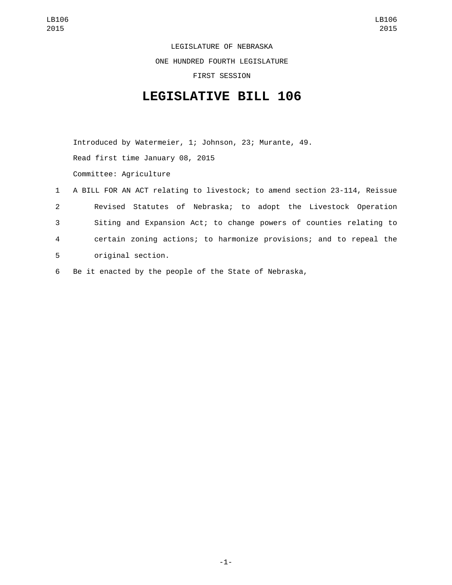LEGISLATURE OF NEBRASKA

ONE HUNDRED FOURTH LEGISLATURE

FIRST SESSION

## **LEGISLATIVE BILL 106**

Introduced by Watermeier, 1; Johnson, 23; Murante, 49. Read first time January 08, 2015 Committee: Agriculture

|              | 1 A BILL FOR AN ACT relating to livestock; to amend section 23-114, Reissue |
|--------------|-----------------------------------------------------------------------------|
| $\mathbf{2}$ | Revised Statutes of Nebraska; to adopt the Livestock Operation              |
| 3            | Siting and Expansion Act; to change powers of counties relating to          |
| 4            | certain zoning actions; to harmonize provisions; and to repeal the          |
| 5            | original section.                                                           |
|              |                                                                             |

6 Be it enacted by the people of the State of Nebraska,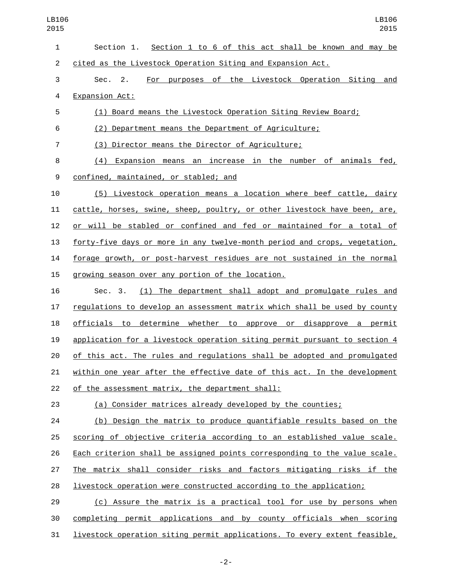| 1              | Section 1 to 6 of this act shall be known and may be<br>Section 1.        |
|----------------|---------------------------------------------------------------------------|
| $\overline{c}$ | cited as the Livestock Operation Siting and Expansion Act.                |
| 3              | For purposes of the Livestock Operation Siting and<br>Sec.<br>2.          |
| 4              | Expansion Act:                                                            |
| 5              | (1) Board means the Livestock Operation Siting Review Board;              |
| 6              | (2) Department means the Department of Agriculture;                       |
| $\overline{7}$ | (3) Director means the Director of Agriculture;                           |
| 8              | (4) Expansion means an increase in the number of animals fed,             |
| 9              | confined, maintained, or stabled; and                                     |
| 10             | (5) Livestock operation means a location where beef cattle, dairy         |
| 11             | cattle, horses, swine, sheep, poultry, or other livestock have been, are, |
| 12             | or will be stabled or confined and fed or maintained for a total of       |
| 13             | forty-five days or more in any twelve-month period and crops, vegetation, |
| 14             | forage growth, or post-harvest residues are not sustained in the normal   |
| 15             | growing season over any portion of the location.                          |
| 16             | (1) The department shall adopt and promulgate rules and<br>Sec. 3.        |
| 17             | regulations to develop an assessment matrix which shall be used by county |
| 18             | officials to determine whether to approve or disapprove a permit          |
| 19             | application for a livestock operation siting permit pursuant to section 4 |
| 20             | of this act. The rules and regulations shall be adopted and promulgated   |
| 21             | within one year after the effective date of this act. In the development  |
| 22             | of the assessment matrix, the department shall:                           |
| 23             | (a) Consider matrices already developed by the counties;                  |
| 24             | (b) Design the matrix to produce quantifiable results based on the        |
| 25             | scoring of objective criteria according to an established value scale.    |
| 26             | Each criterion shall be assigned points corresponding to the value scale. |
| 27             | The matrix shall consider risks and factors mitigating risks if the       |
| 28             | livestock operation were constructed according to the application;        |
| 29             | (c) Assure the matrix is a practical tool for use by persons when         |
| 30             | completing permit applications and by county officials when scoring       |
| 31             | livestock operation siting permit applications. To every extent feasible, |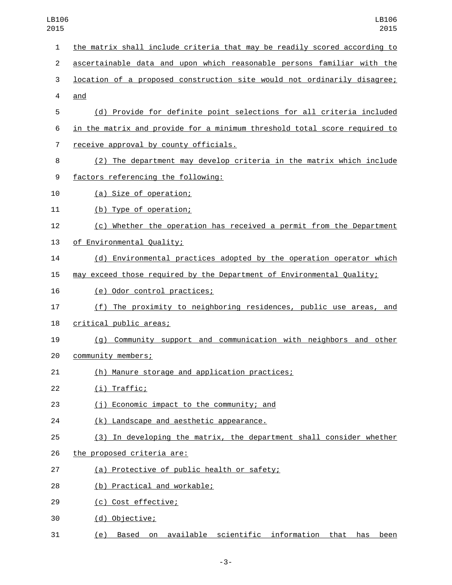| 1              | the matrix shall include criteria that may be readily scored according to |
|----------------|---------------------------------------------------------------------------|
| $\overline{c}$ | ascertainable data and upon which reasonable persons familiar with the    |
| 3              | location of a proposed construction site would not ordinarily disagree;   |
| 4              | and                                                                       |
| 5              | (d) Provide for definite point selections for all criteria included       |
| 6              | in the matrix and provide for a minimum threshold total score required to |
| 7              | receive approval by county officials.                                     |
| 8              | (2) The department may develop criteria in the matrix which include       |
| 9              | factors referencing the following:                                        |
| 10             | (a) Size of operation;                                                    |
| 11             | (b) Type of operation;                                                    |
| 12             | (c) Whether the operation has received a permit from the Department       |
| 13             | of Environmental Quality;                                                 |
| 14             | (d) Environmental practices adopted by the operation operator which       |
| 15             | may exceed those required by the Department of Environmental Quality;     |
| 16             | (e) Odor control practices;                                               |
| 17             | (f) The proximity to neighboring residences, public use areas, and        |
| 18             | critical public areas;                                                    |
| 19             | (g) Community support and communication with neighbors and other          |
| 20             | community members;                                                        |
| 21             | (h)<br>Manure storage and application practices;                          |
| 22             | (i) Traffic;                                                              |
| 23             | (j) Economic impact to the community; and                                 |
| 24             | (k) Landscape and aesthetic appearance.                                   |
| 25             | (3) In developing the matrix, the department shall consider whether       |
| 26             | the proposed criteria are:                                                |
| 27             | (a) Protective of public health or safety;                                |
| 28             | (b) Practical and workable;                                               |
| 29             | (c) Cost effective;                                                       |
| 30             | (d) Objective;                                                            |
| 31             | (e) Based on available scientific information that has been               |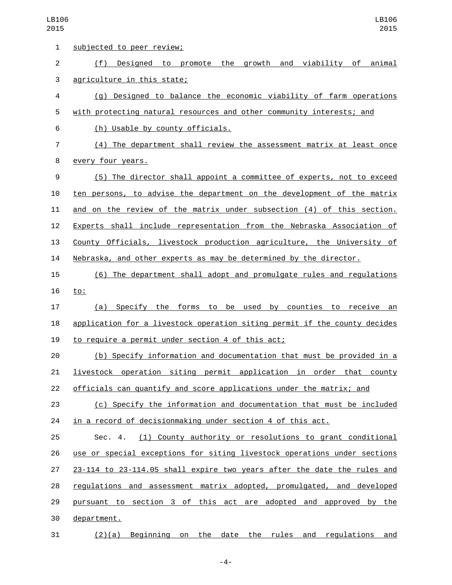| 1              | subjected to peer review;                                                 |
|----------------|---------------------------------------------------------------------------|
| $\overline{2}$ | Designed to promote the growth and viability of animal<br>(f)             |
| 3              | agriculture in this state;                                                |
| 4              | (g) Designed to balance the economic viability of farm operations         |
| 5              | with protecting natural resources and other community interests; and      |
| 6              | (h) Usable by county officials.                                           |
| 7              | (4) The department shall review the assessment matrix at least once       |
| 8              | every four years.                                                         |
| 9              | (5) The director shall appoint a committee of experts, not to exceed      |
| 10             | ten persons, to advise the department on the development of the matrix    |
| 11             | and on the review of the matrix under subsection (4) of this section.     |
| 12             | Experts shall include representation from the Nebraska Association of     |
| 13             | County Officials, livestock production agriculture, the University of     |
| 14             | Nebraska, and other experts as may be determined by the director.         |
| 15             | (6) The department shall adopt and promulgate rules and regulations       |
| 16             | <u>to:</u>                                                                |
| 17             | (a) Specify the forms to be used<br>by counties to receive an             |
| 18             | application for a livestock operation siting permit if the county decides |
| 19             | to require a permit under section 4 of this act;                          |
| 20             | (b) Specify information and documentation that must be provided in a      |
| 21             | livestock operation siting permit application in order that county        |
| 22             | officials can quantify and score applications under the matrix; and       |
| 23             | (c) Specify the information and documentation that must be included       |
| 24             | in a record of decisionmaking under section 4 of this act.                |
| 25             | (1) County authority or resolutions to grant conditional<br>Sec. 4.       |
| 26             | use or special exceptions for siting livestock operations under sections  |
| 27             | 23-114 to 23-114.05 shall expire two years after the date the rules and   |
| 28             | regulations and assessment matrix adopted, promulgated, and developed     |
| 29             | pursuant to section 3 of this act are adopted and approved by the         |
| 30             | department.                                                               |
| 31             | $(2)(a)$ Beginning on the date the rules and regulations and              |

-4-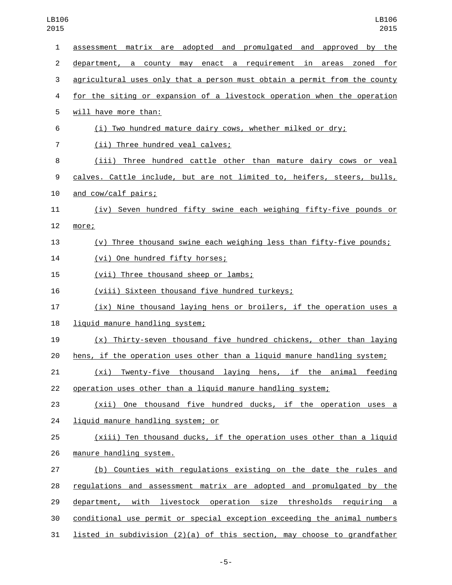| $\mathbf{1}$   | assessment matrix are adopted and promulgated and approved by the         |
|----------------|---------------------------------------------------------------------------|
| $\overline{2}$ | department, a county may enact a requirement in areas zoned for           |
| 3              | agricultural uses only that a person must obtain a permit from the county |
| 4              | for the siting or expansion of a livestock operation when the operation   |
| 5              | will have more than:                                                      |
| 6              | (i) Two hundred mature dairy cows, whether milked or dry;                 |
| 7              | (ii) Three hundred veal calves;                                           |
| 8              | (iii) Three hundred cattle other than mature dairy cows or veal           |
| 9              | calves. Cattle include, but are not limited to, heifers, steers, bulls,   |
| 10             | and cow/calf pairs;                                                       |
| 11             | (iv) Seven hundred fifty swine each weighing fifty-five pounds or         |
| 12             | more;                                                                     |
| 13             | (v) Three thousand swine each weighing less than fifty-five pounds;       |
| 14             | (vi) One hundred fifty horses;                                            |
| 15             | (vii) Three thousand sheep or lambs;                                      |
| 16             | (viii) Sixteen thousand five hundred turkeys;                             |
| 17             | (ix) Nine thousand laying hens or broilers, if the operation uses a       |
| 18             | liquid manure handling system;                                            |
| 19             | $(x)$ Thirty-seven thousand five hundred chickens, other than laying      |
| 20             | hens, if the operation uses other than a liquid manure handling system;   |
| 21             | <u>(xi) Twenty-five thousand laying hens, if the animal feeding</u>       |
| 22             | operation uses other than a liquid manure handling system;                |
| 23             | (xii) One thousand five hundred ducks, if the operation uses a            |
| 24             | liquid manure handling system; or                                         |
| 25             | (xiii) Ten thousand ducks, if the operation uses other than a liquid      |
| 26             | manure handling system.                                                   |
| 27             | (b) Counties with regulations existing on the date the rules and          |
| 28             | regulations and assessment matrix are adopted and promulgated by the      |
| 29             | department, with livestock operation size thresholds requiring a          |
| 30             | conditional use permit or special exception exceeding the animal numbers  |
| 31             | listed in subdivision (2)(a) of this section, may choose to grandfather   |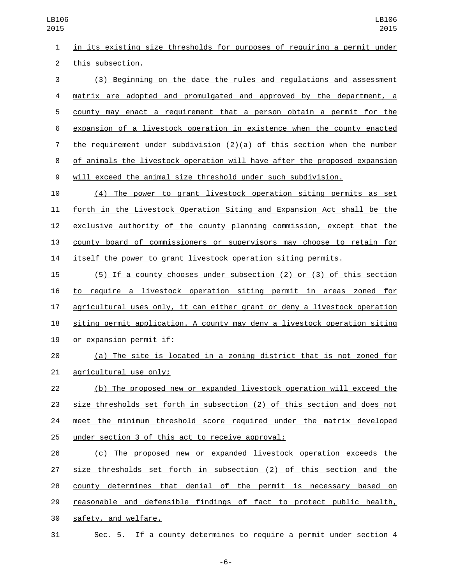in its existing size thresholds for purposes of requiring a permit under 2 this subsection.

 (3) Beginning on the date the rules and regulations and assessment matrix are adopted and promulgated and approved by the department, a county may enact a requirement that a person obtain a permit for the expansion of a livestock operation in existence when the county enacted the requirement under subdivision (2)(a) of this section when the number of animals the livestock operation will have after the proposed expansion will exceed the animal size threshold under such subdivision.

 (4) The power to grant livestock operation siting permits as set forth in the Livestock Operation Siting and Expansion Act shall be the exclusive authority of the county planning commission, except that the county board of commissioners or supervisors may choose to retain for itself the power to grant livestock operation siting permits.

 (5) If a county chooses under subsection (2) or (3) of this section to require a livestock operation siting permit in areas zoned for agricultural uses only, it can either grant or deny a livestock operation siting permit application. A county may deny a livestock operation siting 19 or expansion permit if:

 (a) The site is located in a zoning district that is not zoned for 21 agricultural use only;

 (b) The proposed new or expanded livestock operation will exceed the size thresholds set forth in subsection (2) of this section and does not meet the minimum threshold score required under the matrix developed 25 under section 3 of this act to receive approval;

 (c) The proposed new or expanded livestock operation exceeds the size thresholds set forth in subsection (2) of this section and the county determines that denial of the permit is necessary based on reasonable and defensible findings of fact to protect public health, 30 safety, and welfare.

Sec. 5. If a county determines to require a permit under section 4

-6-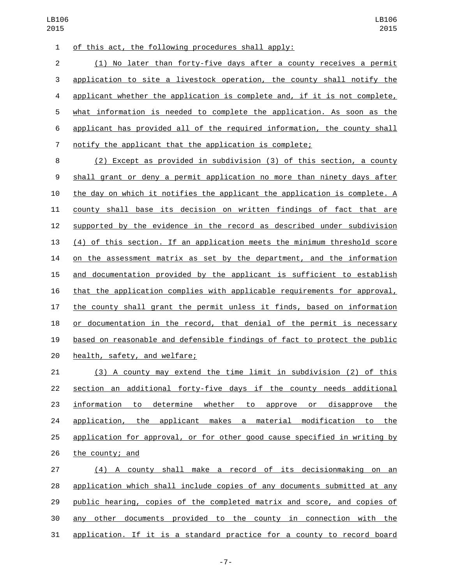of this act, the following procedures shall apply:1

 (1) No later than forty-five days after a county receives a permit application to site a livestock operation, the county shall notify the applicant whether the application is complete and, if it is not complete, what information is needed to complete the application. As soon as the applicant has provided all of the required information, the county shall notify the applicant that the application is complete;

 (2) Except as provided in subdivision (3) of this section, a county shall grant or deny a permit application no more than ninety days after the day on which it notifies the applicant the application is complete. A county shall base its decision on written findings of fact that are supported by the evidence in the record as described under subdivision (4) of this section. If an application meets the minimum threshold score on the assessment matrix as set by the department, and the information and documentation provided by the applicant is sufficient to establish that the application complies with applicable requirements for approval, the county shall grant the permit unless it finds, based on information or documentation in the record, that denial of the permit is necessary based on reasonable and defensible findings of fact to protect the public 20 health, safety, and welfare;

 (3) A county may extend the time limit in subdivision (2) of this section an additional forty-five days if the county needs additional information to determine whether to approve or disapprove the 24 application, the applicant makes a material modification to the application for approval, or for other good cause specified in writing by the county; and

 (4) A county shall make a record of its decisionmaking on an application which shall include copies of any documents submitted at any public hearing, copies of the completed matrix and score, and copies of any other documents provided to the county in connection with the application. If it is a standard practice for a county to record board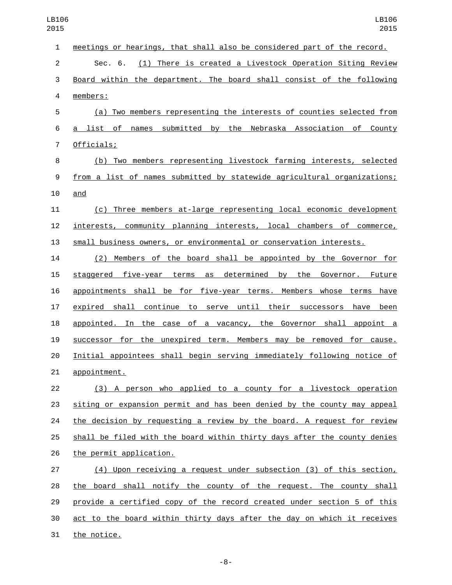| $\mathbf{1}$   | meetings or hearings, that shall also be considered part of the record.  |
|----------------|--------------------------------------------------------------------------|
| $\overline{c}$ | (1) There is created a Livestock Operation Siting Review<br>Sec. 6.      |
| 3              | Board within the department. The board shall consist of the following    |
| 4              | members:                                                                 |
| 5              | (a) Two members representing the interests of counties selected from     |
| 6              | names submitted by the Nebraska Association of County<br>a list of       |
| $\overline{7}$ | Officials;                                                               |
| 8              | (b) Two members representing livestock farming interests, selected       |
| 9              | from a list of names submitted by statewide agricultural organizations;  |
| 10             | and                                                                      |
| 11             | (c) Three members at-large representing local economic development       |
| 12             | interests, community planning interests, local chambers of commerce,     |
| 13             | small business owners, or environmental or conservation interests.       |
| 14             | (2) Members of the board shall be appointed by the Governor for          |
| 15             | staggered five-year terms as determined by the Governor. Future          |
| 16             | appointments shall be for five-year terms. Members whose terms have      |
| 17             | expired shall continue to serve until their successors have been         |
| 18             | appointed. In the case of a vacancy, the Governor shall appoint a        |
| 19             | successor for the unexpired term. Members may be removed for cause.      |
| 20             | Initial appointees shall begin serving immediately following notice of   |
| 21             | appointment.                                                             |
| 22             | (3) A person who applied to a county for a livestock operation           |
| 23             | siting or expansion permit and has been denied by the county may appeal  |
| 24             | the decision by requesting a review by the board. A request for review   |
| 25             | shall be filed with the board within thirty days after the county denies |
| 26             | the permit application.                                                  |
| 27             | (4) Upon receiving a request under subsection (3) of this section,       |
| 28             | the board shall notify the county of the request. The county shall       |
| 29             | provide a certified copy of the record created under section 5 of this   |
| 30             | act to the board within thirty days after the day on which it receives   |
| 31             | the notice.                                                              |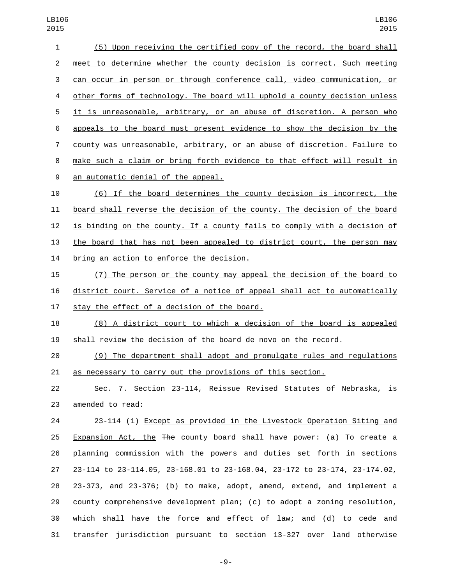(5) Upon receiving the certified copy of the record, the board shall meet to determine whether the county decision is correct. Such meeting can occur in person or through conference call, video communication, or other forms of technology. The board will uphold a county decision unless it is unreasonable, arbitrary, or an abuse of discretion. A person who appeals to the board must present evidence to show the decision by the county was unreasonable, arbitrary, or an abuse of discretion. Failure to make such a claim or bring forth evidence to that effect will result in 9 an automatic denial of the appeal. (6) If the board determines the county decision is incorrect, the

 board shall reverse the decision of the county. The decision of the board is binding on the county. If a county fails to comply with a decision of the board that has not been appealed to district court, the person may 14 bring an action to enforce the decision.

 (7) The person or the county may appeal the decision of the board to district court. Service of a notice of appeal shall act to automatically 17 stay the effect of a decision of the board.

 (8) A district court to which a decision of the board is appealed shall review the decision of the board de novo on the record.

 (9) The department shall adopt and promulgate rules and regulations as necessary to carry out the provisions of this section.

 Sec. 7. Section 23-114, Reissue Revised Statutes of Nebraska, is 23 amended to read:

 23-114 (1) Except as provided in the Livestock Operation Siting and 25 Expansion Act, the The county board shall have power: (a) To create a planning commission with the powers and duties set forth in sections 23-114 to 23-114.05, 23-168.01 to 23-168.04, 23-172 to 23-174, 23-174.02, 23-373, and 23-376; (b) to make, adopt, amend, extend, and implement a county comprehensive development plan; (c) to adopt a zoning resolution, which shall have the force and effect of law; and (d) to cede and transfer jurisdiction pursuant to section 13-327 over land otherwise

-9-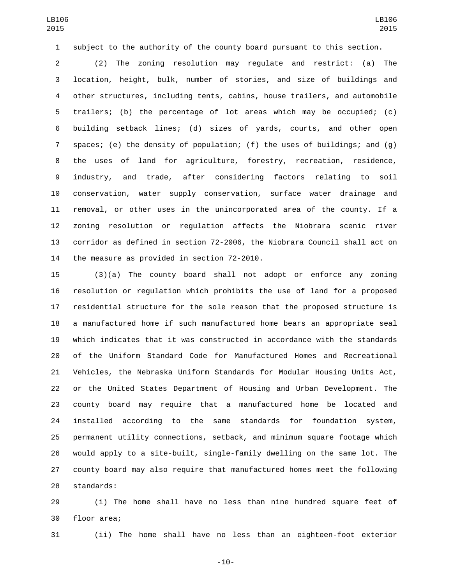subject to the authority of the county board pursuant to this section.

 (2) The zoning resolution may regulate and restrict: (a) The location, height, bulk, number of stories, and size of buildings and other structures, including tents, cabins, house trailers, and automobile trailers; (b) the percentage of lot areas which may be occupied; (c) building setback lines; (d) sizes of yards, courts, and other open spaces; (e) the density of population; (f) the uses of buildings; and (g) the uses of land for agriculture, forestry, recreation, residence, industry, and trade, after considering factors relating to soil conservation, water supply conservation, surface water drainage and removal, or other uses in the unincorporated area of the county. If a zoning resolution or regulation affects the Niobrara scenic river corridor as defined in section 72-2006, the Niobrara Council shall act on 14 the measure as provided in section 72-2010.

 (3)(a) The county board shall not adopt or enforce any zoning resolution or regulation which prohibits the use of land for a proposed residential structure for the sole reason that the proposed structure is a manufactured home if such manufactured home bears an appropriate seal which indicates that it was constructed in accordance with the standards of the Uniform Standard Code for Manufactured Homes and Recreational Vehicles, the Nebraska Uniform Standards for Modular Housing Units Act, or the United States Department of Housing and Urban Development. The county board may require that a manufactured home be located and installed according to the same standards for foundation system, permanent utility connections, setback, and minimum square footage which would apply to a site-built, single-family dwelling on the same lot. The county board may also require that manufactured homes meet the following 28 standards:

 (i) The home shall have no less than nine hundred square feet of 30 floor area;

(ii) The home shall have no less than an eighteen-foot exterior

-10-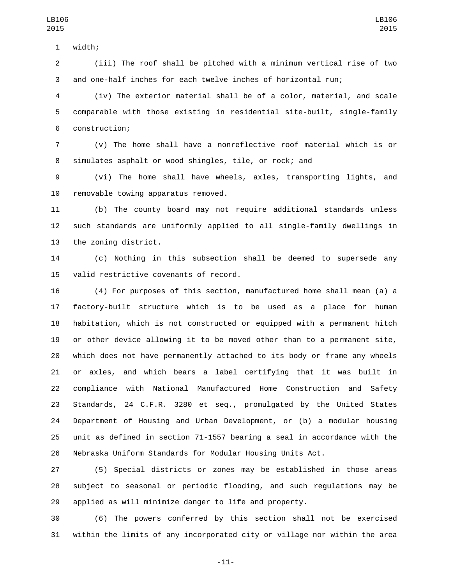1 width;

 (iii) The roof shall be pitched with a minimum vertical rise of two and one-half inches for each twelve inches of horizontal run;

 (iv) The exterior material shall be of a color, material, and scale comparable with those existing in residential site-built, single-family 6 construction;

 (v) The home shall have a nonreflective roof material which is or simulates asphalt or wood shingles, tile, or rock; and

 (vi) The home shall have wheels, axles, transporting lights, and 10 removable towing apparatus removed.

 (b) The county board may not require additional standards unless such standards are uniformly applied to all single-family dwellings in 13 the zoning district.

 (c) Nothing in this subsection shall be deemed to supersede any 15 valid restrictive covenants of record.

 (4) For purposes of this section, manufactured home shall mean (a) a factory-built structure which is to be used as a place for human habitation, which is not constructed or equipped with a permanent hitch or other device allowing it to be moved other than to a permanent site, which does not have permanently attached to its body or frame any wheels or axles, and which bears a label certifying that it was built in compliance with National Manufactured Home Construction and Safety Standards, 24 C.F.R. 3280 et seq., promulgated by the United States Department of Housing and Urban Development, or (b) a modular housing unit as defined in section 71-1557 bearing a seal in accordance with the Nebraska Uniform Standards for Modular Housing Units Act.

 (5) Special districts or zones may be established in those areas subject to seasonal or periodic flooding, and such regulations may be applied as will minimize danger to life and property.

 (6) The powers conferred by this section shall not be exercised within the limits of any incorporated city or village nor within the area

-11-